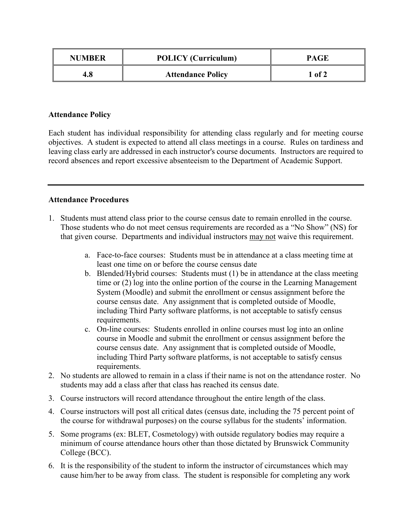| <b>NUMBER</b> | <b>POLICY</b> (Curriculum) | <b>PAGE</b> |
|---------------|----------------------------|-------------|
| 4.8           | <b>Attendance Policy</b>   | $1$ of 2    |

## **Attendance Policy**

Each student has individual responsibility for attending class regularly and for meeting course objectives. A student is expected to attend all class meetings in a course. Rules on tardiness and leaving class early are addressed in each instructor's course documents. Instructors are required to record absences and report excessive absenteeism to the Department of Academic Support.

## **Attendance Procedures**

- 1. Students must attend class prior to the course census date to remain enrolled in the course. Those students who do not meet census requirements are recorded as a "No Show" (NS) for that given course. Departments and individual instructors may not waive this requirement.
	- a. Face-to-face courses: Students must be in attendance at a class meeting time at least one time on or before the course census date
	- b. Blended/Hybrid courses: Students must (1) be in attendance at the class meeting time or (2) log into the online portion of the course in the Learning Management System (Moodle) and submit the enrollment or census assignment before the course census date. Any assignment that is completed outside of Moodle, including Third Party software platforms, is not acceptable to satisfy census requirements.
	- c. On-line courses: Students enrolled in online courses must log into an online course in Moodle and submit the enrollment or census assignment before the course census date. Any assignment that is completed outside of Moodle, including Third Party software platforms, is not acceptable to satisfy census requirements.
- 2. No students are allowed to remain in a class if their name is not on the attendance roster. No students may add a class after that class has reached its census date.
- 3. Course instructors will record attendance throughout the entire length of the class.
- 4. Course instructors will post all critical dates (census date, including the 75 percent point of the course for withdrawal purposes) on the course syllabus for the students' information.
- 5. Some programs (ex: BLET, Cosmetology) with outside regulatory bodies may require a minimum of course attendance hours other than those dictated by Brunswick Community College (BCC).
- 6. It is the responsibility of the student to inform the instructor of circumstances which may cause him/her to be away from class. The student is responsible for completing any work